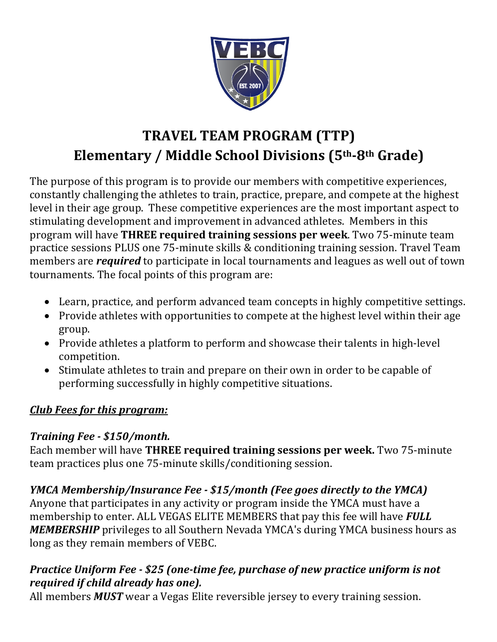

# **TRAVEL TEAM PROGRAM (TTP) Elementary / Middle School Divisions (5th-8th Grade)**

The purpose of this program is to provide our members with competitive experiences, constantly challenging the athletes to train, practice, prepare, and compete at the highest level in their age group. These competitive experiences are the most important aspect to stimulating development and improvement in advanced athletes. Members in this program will have **THREE required training sessions per week**. Two 75-minute team practice sessions PLUS one 75-minute skills & conditioning training session. Travel Team members are *required* to participate in local tournaments and leagues as well out of town tournaments. The focal points of this program are:

- Learn, practice, and perform advanced team concepts in highly competitive settings.
- Provide athletes with opportunities to compete at the highest level within their age group.
- Provide athletes a platform to perform and showcase their talents in high-level competition.
- Stimulate athletes to train and prepare on their own in order to be capable of performing successfully in highly competitive situations.

#### *Club Fees for this program:*

#### *Training Fee - \$150/month.*

Each member will have THREE required training sessions per week. Two 75-minute team practices plus one 75-minute skills/conditioning session.

### *YMCA Membership/Insurance Fee - \$15/month (Fee goes directly to the YMCA)*

Anyone that participates in any activity or program inside the YMCA must have a membership to enter. ALL VEGAS ELITE MEMBERS that pay this fee will have **FULL MEMBERSHIP** privileges to all Southern Nevada YMCA's during YMCA business hours as long as they remain members of VEBC.

#### *Practice Uniform Fee - \$25 (one-time fee, purchase of new practice uniform is not required if child already has one).*

All members *MUST* wear a Vegas Elite reversible jersey to every training session.